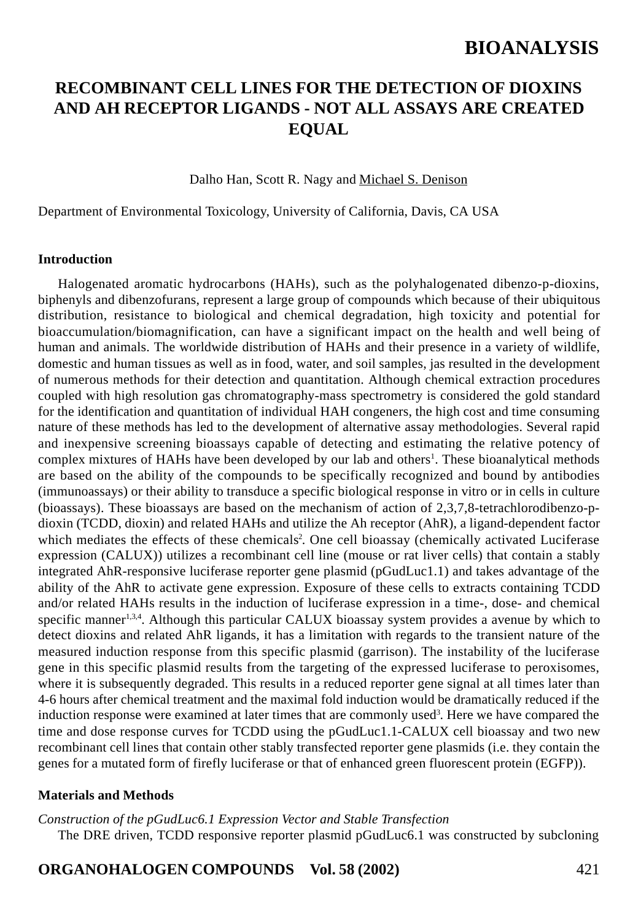## **RECOMBINANT CELL LINES FOR THE DETECTION OF DIOXINS AND AH RECEPTOR LIGANDS - NOT ALL ASSAYS ARE CREATED EQUAL**

Dalho Han, Scott R. Nagy and Michael S. Denison

Department of Environmental Toxicology, University of California, Davis, CA USA

#### **Introduction**

Halogenated aromatic hydrocarbons (HAHs), such as the polyhalogenated dibenzo-p-dioxins, biphenyls and dibenzofurans, represent a large group of compounds which because of their ubiquitous distribution, resistance to biological and chemical degradation, high toxicity and potential for bioaccumulation/biomagnification, can have a significant impact on the health and well being of human and animals. The worldwide distribution of HAHs and their presence in a variety of wildlife, domestic and human tissues as well as in food, water, and soil samples, jas resulted in the development of numerous methods for their detection and quantitation. Although chemical extraction procedures coupled with high resolution gas chromatography-mass spectrometry is considered the gold standard for the identification and quantitation of individual HAH congeners, the high cost and time consuming nature of these methods has led to the development of alternative assay methodologies. Several rapid and inexpensive screening bioassays capable of detecting and estimating the relative potency of complex mixtures of HAHs have been developed by our lab and others<sup>1</sup>. These bioanalytical methods are based on the ability of the compounds to be specifically recognized and bound by antibodies (immunoassays) or their ability to transduce a specific biological response in vitro or in cells in culture (bioassays). These bioassays are based on the mechanism of action of 2,3,7,8-tetrachlorodibenzo-pdioxin (TCDD, dioxin) and related HAHs and utilize the Ah receptor (AhR), a ligand-dependent factor which mediates the effects of these chemicals<sup>2</sup>. One cell bioassay (chemically activated Luciferase expression (CALUX)) utilizes a recombinant cell line (mouse or rat liver cells) that contain a stably integrated AhR-responsive luciferase reporter gene plasmid (pGudLuc1.1) and takes advantage of the ability of the AhR to activate gene expression. Exposure of these cells to extracts containing TCDD and/or related HAHs results in the induction of luciferase expression in a time-, dose- and chemical specific manner<sup>1,3,4</sup>. Although this particular CALUX bioassay system provides a avenue by which to detect dioxins and related AhR ligands, it has a limitation with regards to the transient nature of the measured induction response from this specific plasmid (garrison). The instability of the luciferase gene in this specific plasmid results from the targeting of the expressed luciferase to peroxisomes, where it is subsequently degraded. This results in a reduced reporter gene signal at all times later than 4-6 hours after chemical treatment and the maximal fold induction would be dramatically reduced if the induction response were examined at later times that are commonly used<sup>3</sup>. Here we have compared the time and dose response curves for TCDD using the pGudLuc1.1-CALUX cell bioassay and two new recombinant cell lines that contain other stably transfected reporter gene plasmids (i.e. they contain the genes for a mutated form of firefly luciferase or that of enhanced green fluorescent protein (EGFP)).

#### **Materials and Methods**

*Construction of the pGudLuc6.1 Expression Vector and Stable Transfection* The DRE driven, TCDD responsive reporter plasmid pGudLuc6.1 was constructed by subcloning

### **ORGANOHALOGEN COMPOUNDS Vol. 58 (2002)** 421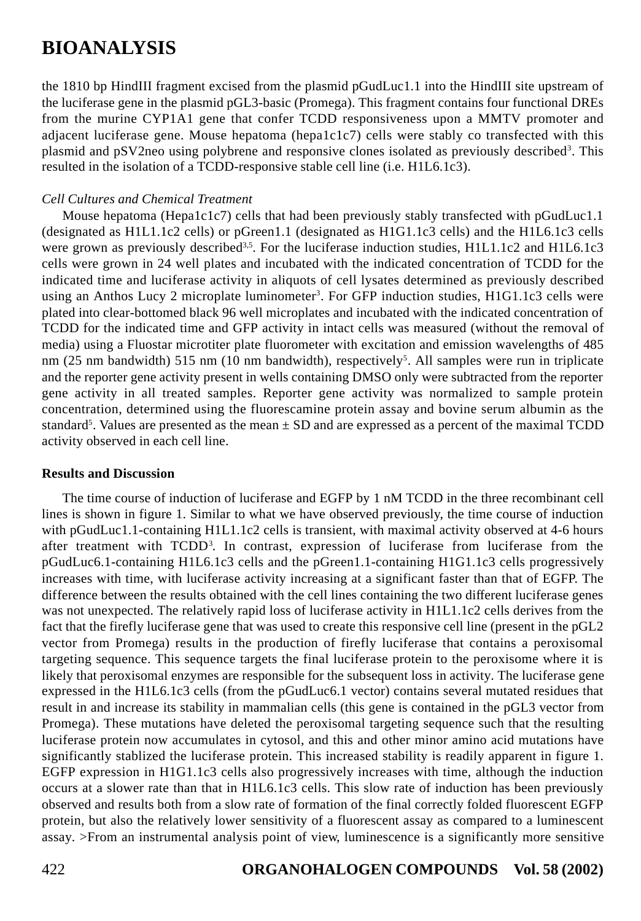the 1810 bp HindIII fragment excised from the plasmid pGudLuc1.1 into the HindIII site upstream of the luciferase gene in the plasmid pGL3-basic (Promega). This fragment contains four functional DREs from the murine CYP1A1 gene that confer TCDD responsiveness upon a MMTV promoter and adjacent luciferase gene. Mouse hepatoma (hepa1c1c7) cells were stably co transfected with this plasmid and pSV2neo using polybrene and responsive clones isolated as previously described<sup>3</sup>. This resulted in the isolation of a TCDD-responsive stable cell line (i.e. H1L6.1c3).

### *Cell Cultures and Chemical Treatment*

Mouse hepatoma (Hepa1c1c7) cells that had been previously stably transfected with pGudLuc1.1 (designated as H1L1.1c2 cells) or pGreen1.1 (designated as H1G1.1c3 cells) and the H1L6.1c3 cells were grown as previously described<sup>3,5</sup>. For the luciferase induction studies,  $H1L1.1c2$  and  $H1L6.1c3$ cells were grown in 24 well plates and incubated with the indicated concentration of TCDD for the indicated time and luciferase activity in aliquots of cell lysates determined as previously described using an Anthos Lucy 2 microplate luminometer<sup>3</sup>. For GFP induction studies, H1G1.1c3 cells were plated into clear-bottomed black 96 well microplates and incubated with the indicated concentration of TCDD for the indicated time and GFP activity in intact cells was measured (without the removal of media) using a Fluostar microtiter plate fluorometer with excitation and emission wavelengths of 485 nm (25 nm bandwidth) 515 nm (10 nm bandwidth), respectively<sup>5</sup>. All samples were run in triplicate and the reporter gene activity present in wells containing DMSO only were subtracted from the reporter gene activity in all treated samples. Reporter gene activity was normalized to sample protein concentration, determined using the fluorescamine protein assay and bovine serum albumin as the standard<sup>5</sup>. Values are presented as the mean  $\pm$  SD and are expressed as a percent of the maximal TCDD activity observed in each cell line.

### **Results and Discussion**

The time course of induction of luciferase and EGFP by 1 nM TCDD in the three recombinant cell lines is shown in figure 1. Similar to what we have observed previously, the time course of induction with pGudLuc1.1-containing H1L1.1c2 cells is transient, with maximal activity observed at 4-6 hours after treatment with TCDD<sup>3</sup>. In contrast, expression of luciferase from luciferase from the pGudLuc6.1-containing H1L6.1c3 cells and the pGreen1.1-containing H1G1.1c3 cells progressively increases with time, with luciferase activity increasing at a significant faster than that of EGFP. The difference between the results obtained with the cell lines containing the two different luciferase genes was not unexpected. The relatively rapid loss of luciferase activity in H1L1.1c2 cells derives from the fact that the firefly luciferase gene that was used to create this responsive cell line (present in the pGL2 vector from Promega) results in the production of firefly luciferase that contains a peroxisomal targeting sequence. This sequence targets the final luciferase protein to the peroxisome where it is likely that peroxisomal enzymes are responsible for the subsequent loss in activity. The luciferase gene expressed in the H1L6.1c3 cells (from the pGudLuc6.1 vector) contains several mutated residues that result in and increase its stability in mammalian cells (this gene is contained in the pGL3 vector from Promega). These mutations have deleted the peroxisomal targeting sequence such that the resulting luciferase protein now accumulates in cytosol, and this and other minor amino acid mutations have significantly stablized the luciferase protein. This increased stability is readily apparent in figure 1. EGFP expression in H1G1.1c3 cells also progressively increases with time, although the induction occurs at a slower rate than that in H1L6.1c3 cells. This slow rate of induction has been previously observed and results both from a slow rate of formation of the final correctly folded fluorescent EGFP protein, but also the relatively lower sensitivity of a fluorescent assay as compared to a luminescent assay. >From an instrumental analysis point of view, luminescence is a significantly more sensitive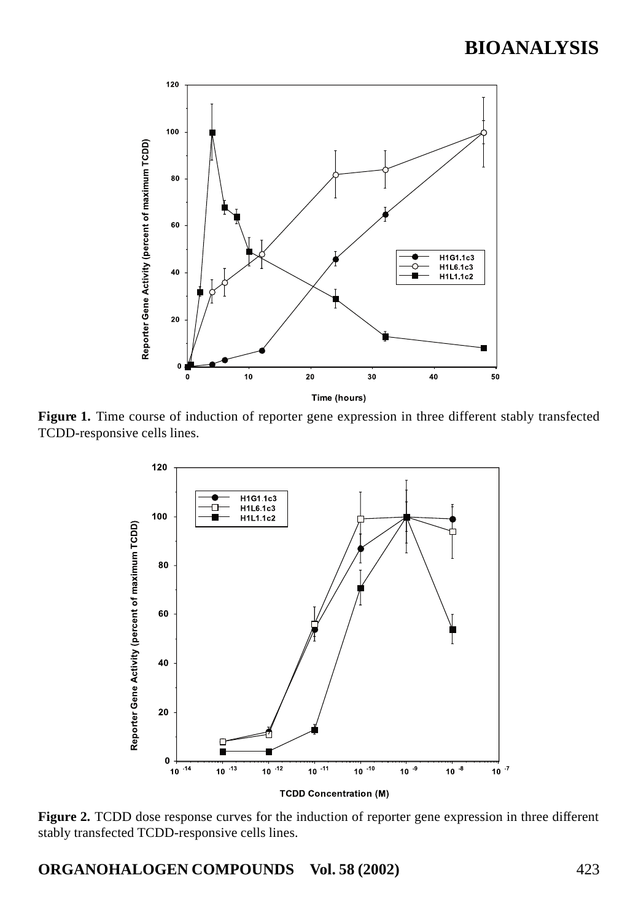

Figure 1. Time course of induction of reporter gene expression in three different stably transfected TCDD-responsive cells lines.



**Figure 2.** TCDD dose response curves for the induction of reporter gene expression in three different stably transfected TCDD-responsive cells lines.

**ORGANOHALOGEN COMPOUNDS Vol. 58 (2002)** 423